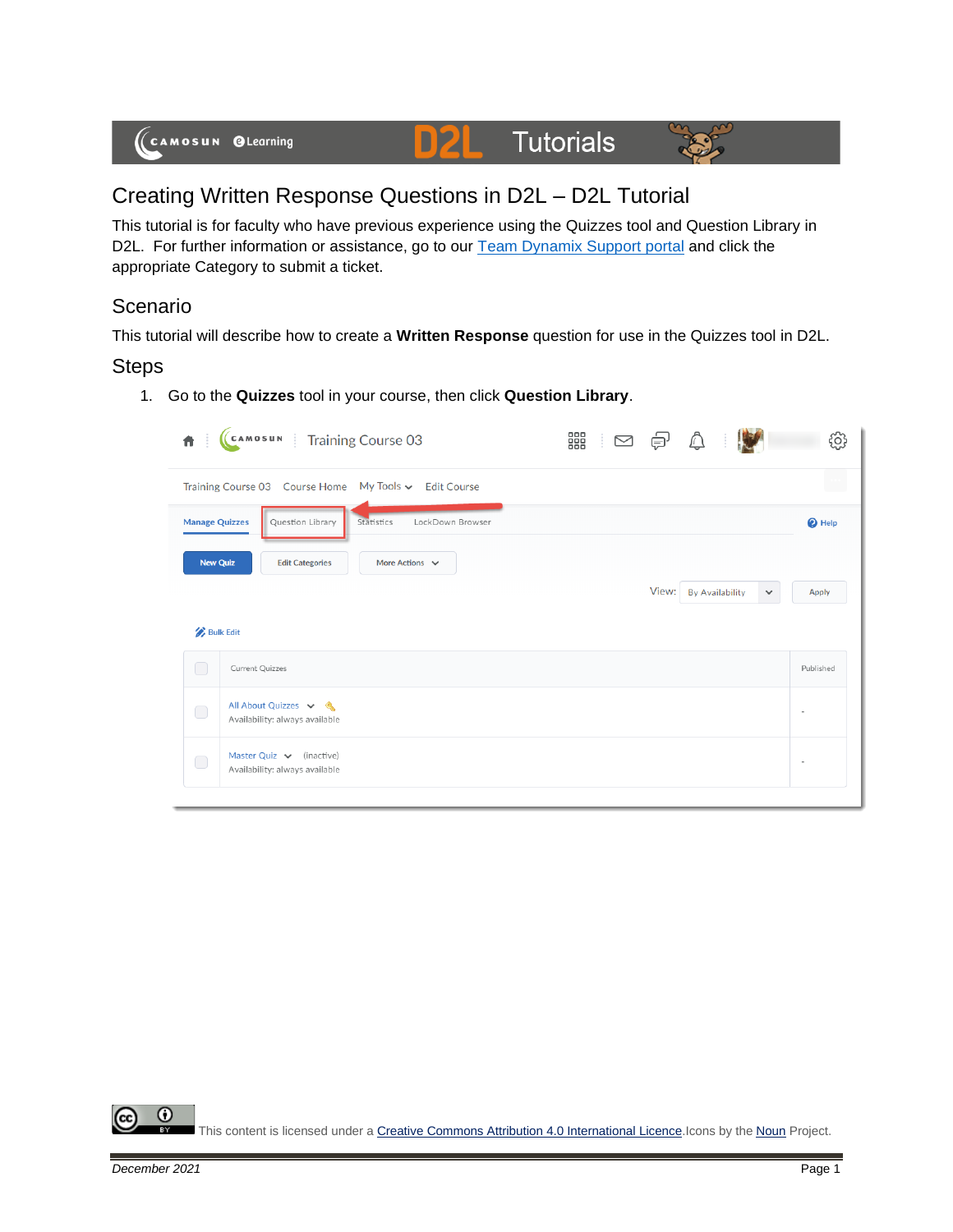

## Creating Written Response Questions in D2L – D2L Tutorial

This tutorial is for faculty who have previous experience using the Quizzes tool and Question Library in D2L. For further information or assistance, go to our **Team Dynamix Support portal** and click the appropriate Category to submit a ticket.

## Scenario

This tutorial will describe how to create a **Written Response** question for use in the Quizzes tool in D2L.

## Steps

1. Go to the **Quizzes** tool in your course, then click **Question Library**.

|                                        | CAMOSUN   Training Course 03                                    | 器 : ⊠ ⊜ි |       | $\mathbb{Q}$           |              |                   |
|----------------------------------------|-----------------------------------------------------------------|----------|-------|------------------------|--------------|-------------------|
|                                        | Training Course 03 Course Home My Tools v Edit Course           |          |       |                        |              |                   |
| <b>Manage Quizzes</b>                  | LockDown Browser<br>Question Library<br>Statistics              |          |       |                        |              | <sup>O</sup> Help |
| <b>New Quiz</b>                        | More Actions $\vee$<br><b>Edit Categories</b>                   |          |       |                        |              |                   |
|                                        |                                                                 |          | View: | <b>By Availability</b> | $\checkmark$ | <b>Apply</b>      |
| <b>Bulk Edit</b>                       |                                                                 |          |       |                        |              |                   |
| $\begin{array}{c} \square \end{array}$ | Current Quizzes                                                 |          |       |                        |              | Published         |
| $\bigcirc$                             | All About Quizzes v &<br>Availability: always available         |          |       |                        |              | $\bar{a}$         |
| $\bigcirc$                             | Master Quiz $\vee$ (inactive)<br>Availability: always available |          |       |                        |              |                   |
|                                        |                                                                 |          |       |                        |              |                   |

0 This content is licensed under [a Creative Commons Attribution 4.0 International Licence.I](https://creativecommons.org/licenses/by/4.0/)cons by the [Noun](https://creativecommons.org/website-icons/) Project.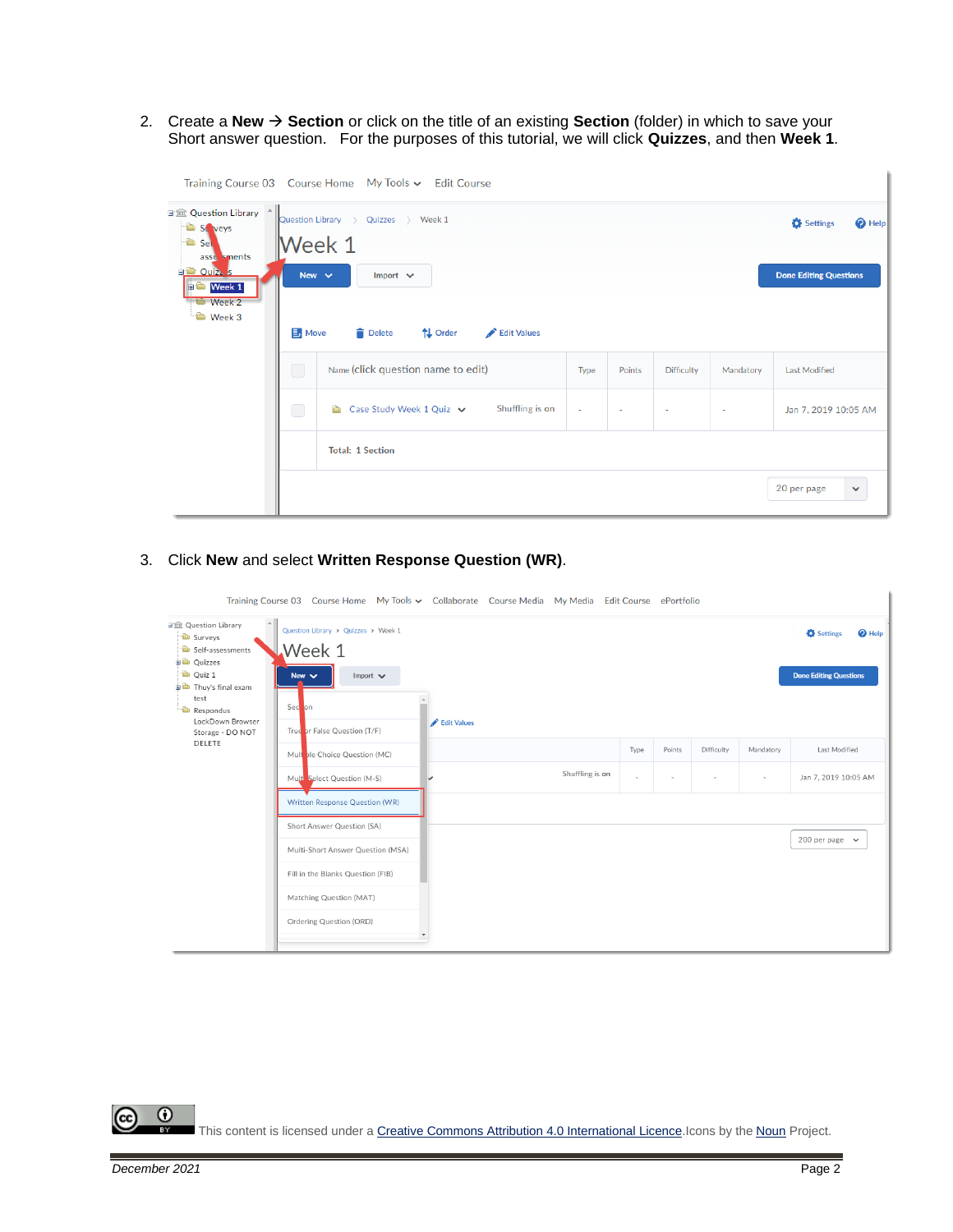2. Create a **New** → **Section** or click on the title of an existing **Section** (folder) in which to save your Short answer question. For the purposes of this tutorial, we will click **Quizzes**, and then **Week 1**.

|                                                                                                                                                                  |                | Training Course 03 Course Home My Tools v Edit Course             |        |        |                   |           |                                                                |
|------------------------------------------------------------------------------------------------------------------------------------------------------------------|----------------|-------------------------------------------------------------------|--------|--------|-------------------|-----------|----------------------------------------------------------------|
| 日金 Question Library ^<br>St veys<br><b>B</b> Sel<br>asse sments<br><b>D</b> Ouiz <sub>A</sub> <sub>S</sub><br>$\bullet$ Week 1<br><b>Week 2</b><br><b>Week 3</b> | New $\sim$     | Question Library ><br>Quizzes > Week 1<br>Week 1<br>Import $\vee$ |        |        |                   |           | Settings<br><sup>O</sup> Help<br><b>Done Editing Questions</b> |
|                                                                                                                                                                  | $\exists$ Move | <b>Delete</b><br>↑↓ Order<br>Edit Values                          |        |        |                   |           |                                                                |
|                                                                                                                                                                  | $\bigcirc$     | Name (click question name to edit)                                | Type   | Points | <b>Difficulty</b> | Mandatory | Last Modified                                                  |
|                                                                                                                                                                  | $\bigcap$      | Shuffling is on<br>Case Study Week 1 Quiz $\vee$<br>a a           | $\sim$ | $\sim$ | $\sim$            | ۰         | Jan 7, 2019 10:05 AM                                           |
|                                                                                                                                                                  |                | <b>Total: 1 Section</b>                                           |        |        |                   |           |                                                                |
|                                                                                                                                                                  |                |                                                                   |        |        |                   |           | 20 per page<br>$\checkmark$                                    |

3. Click **New** and select **Written Response Question (WR)**.

|                                                                                                                                         | Training Course 03 Course Home My Tools v Collaborate Course Media My Media Edit Course ePortfolio |             |                 |        |                          |            |           |                                                                      |
|-----------------------------------------------------------------------------------------------------------------------------------------|----------------------------------------------------------------------------------------------------|-------------|-----------------|--------|--------------------------|------------|-----------|----------------------------------------------------------------------|
| <b>3</b> Question Library<br>Surveys<br>Self-assessments<br><b>D</b> Quizzes<br>Quiz 1<br><b>Thuy's final exam</b><br>test<br>Respondus | Question Library > Quizzes > Week 1<br>Week 1<br>Import $\vee$<br>New $\vee$<br>Sec on             |             |                 |        |                          |            |           | $\bullet$ Help<br><b>C</b> Settings<br><b>Done Editing Questions</b> |
| LockDown Browser<br>Storage - DO NOT                                                                                                    | True or False Question (T/F)                                                                       | Edit Values |                 |        |                          |            |           |                                                                      |
| DELETE                                                                                                                                  | Multolle Choice Question (MC)                                                                      |             |                 | Type   | Points                   | Difficulty | Mandatory | Last Modified                                                        |
|                                                                                                                                         | Mult Select Question (M-S)                                                                         | v           | Shuffling is on | $\sim$ | $\overline{\phantom{a}}$ | $\sim$     | $\sim$    | Jan 7, 2019 10:05 AM                                                 |
|                                                                                                                                         | Written Response Question (WR)                                                                     |             |                 |        |                          |            |           |                                                                      |
|                                                                                                                                         | Short Answer Question (SA)                                                                         |             |                 |        |                          |            |           |                                                                      |
|                                                                                                                                         | Multi-Short Answer Question (MSA)                                                                  |             |                 |        |                          |            |           | 200 per page $\vee$                                                  |
|                                                                                                                                         | Fill in the Blanks Question (FIB)                                                                  |             |                 |        |                          |            |           |                                                                      |
|                                                                                                                                         | Matching Question (MAT)                                                                            |             |                 |        |                          |            |           |                                                                      |
|                                                                                                                                         | Ordering Question (ORD)                                                                            |             |                 |        |                          |            |           |                                                                      |
|                                                                                                                                         |                                                                                                    |             |                 |        |                          |            |           |                                                                      |

This content is licensed under [a Creative Commons Attribution 4.0 International Licence.I](https://creativecommons.org/licenses/by/4.0/)cons by the [Noun](https://creativecommons.org/website-icons/) Project.

 $\odot$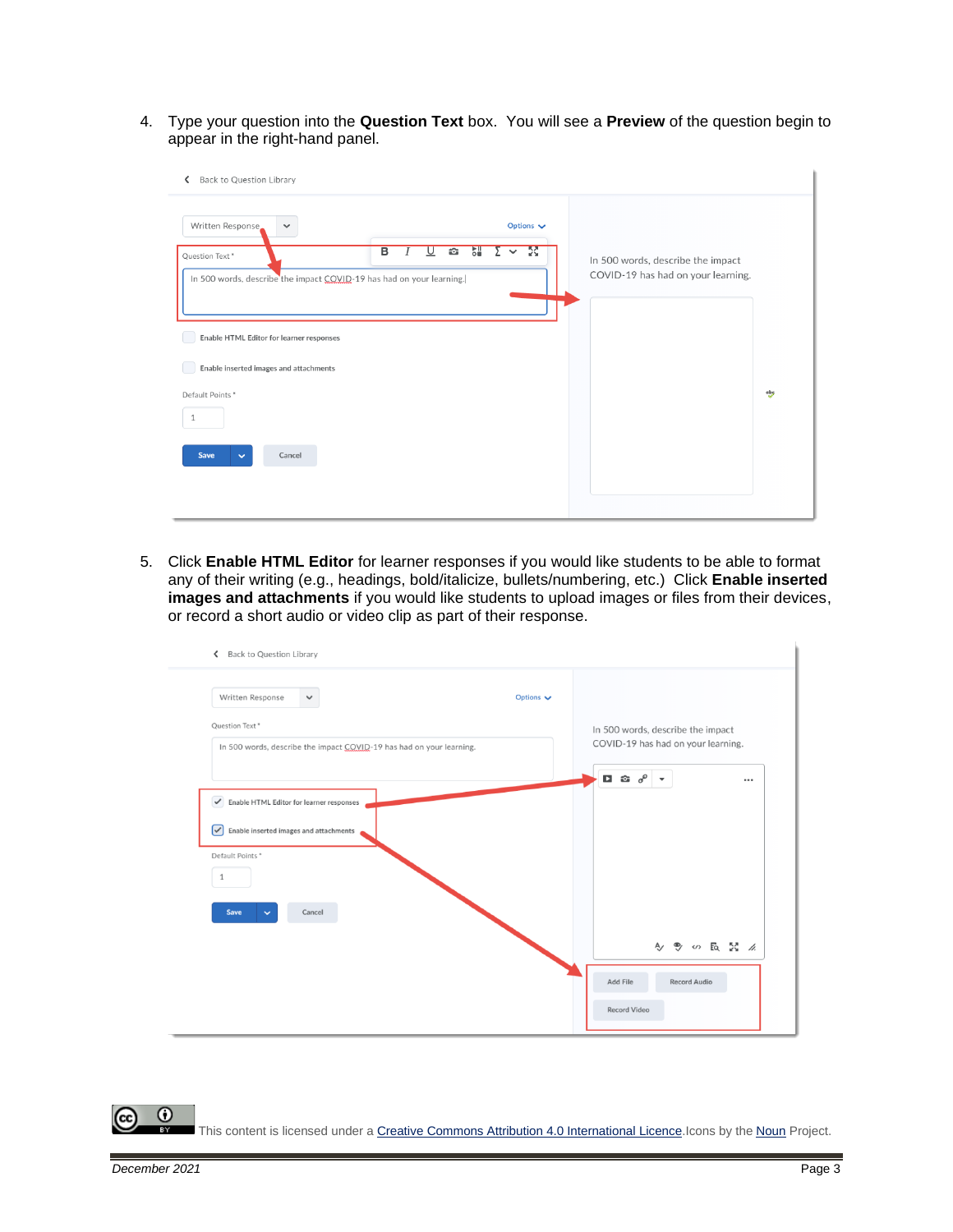4. Type your question into the **Question Text** box. You will see a **Preview** of the question begin to appear in the right-hand panel.

| Back to Question Library<br>≺                                                                                                                                                 |                                                     |                                                                         |     |
|-------------------------------------------------------------------------------------------------------------------------------------------------------------------------------|-----------------------------------------------------|-------------------------------------------------------------------------|-----|
| Written Response<br>$\checkmark$<br>$rac{1}{100}$<br>$\overline{B}$<br>$\circ$<br>U<br>Question Text*<br>In 500 words, describe the impact COVID-19 has had on your learning. | Options $\blacktriangleright$<br>53<br>$\checkmark$ | In 500 words, describe the impact<br>COVID-19 has had on your learning. |     |
| Enable HTML Editor for learner responses                                                                                                                                      |                                                     |                                                                         |     |
| Enable inserted images and attachments                                                                                                                                        |                                                     |                                                                         |     |
| Default Points*<br>1                                                                                                                                                          |                                                     |                                                                         | abs |
| Cancel<br>Save<br>$\checkmark$                                                                                                                                                |                                                     |                                                                         |     |
|                                                                                                                                                                               |                                                     |                                                                         |     |

5. Click **Enable HTML Editor** for learner responses if you would like students to be able to format any of their writing (e.g., headings, bold/italicize, bullets/numbering, etc.) Click **Enable inserted images and attachments** if you would like students to upload images or files from their devices, or record a short audio or video clip as part of their response.



0 This content is licensed under [a Creative Commons Attribution 4.0 International Licence.I](https://creativecommons.org/licenses/by/4.0/)cons by the [Noun](https://creativecommons.org/website-icons/) Project.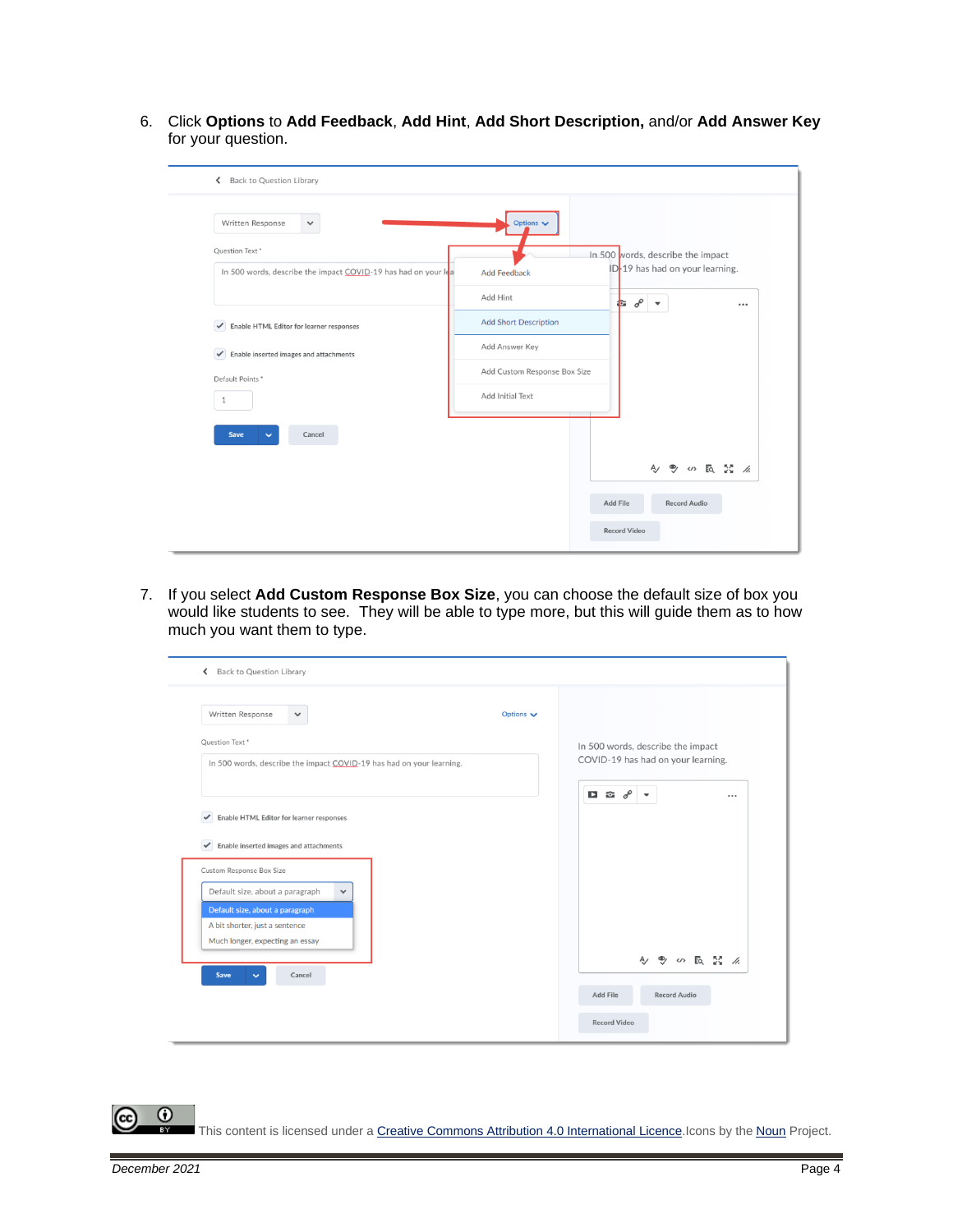6. Click **Options** to **Add Feedback**, **Add Hint**, **Add Short Description,** and/or **Add Answer Key** for your question.

| Written Response<br>$\checkmark$                               | Options $\blacktriangleright$ |                                                       |
|----------------------------------------------------------------|-------------------------------|-------------------------------------------------------|
| Question Text*                                                 |                               | In 500 words, describe the impact                     |
| In 500 words, describe the impact COVID-19 has had on your lea | <b>Add Feedback</b>           | ID-19 has had on your learning.                       |
|                                                                | Add Hint                      | $\sigma^{\!\mathcal{O}}$<br>t.<br>$\cdot$<br>$\cdots$ |
| Enable HTML Editor for learner responses                       | <b>Add Short Description</b>  |                                                       |
| $\blacktriangleright$ Enable inserted images and attachments   | Add Answer Key                |                                                       |
| Default Points *                                               | Add Custom Response Box Size  |                                                       |
| $\mathbf{1}$                                                   | Add Initial Text              |                                                       |
| Save<br>Cancel<br>$\checkmark$                                 |                               |                                                       |
|                                                                |                               |                                                       |
|                                                                |                               | 今 シ の 長 器 系                                           |
|                                                                |                               | Record Audio<br>Add File                              |

7. If you select **Add Custom Response Box Size**, you can choose the default size of box you would like students to see. They will be able to type more, but this will guide them as to how much you want them to type.

| Written Response<br>$\checkmark$                                                                                                                                    | Options $\vee$ |                                                                         |
|---------------------------------------------------------------------------------------------------------------------------------------------------------------------|----------------|-------------------------------------------------------------------------|
| Question Text*<br>In 500 words, describe the impact COVID-19 has had on your learning.                                                                              |                | In 500 words, describe the impact<br>COVID-19 has had on your learning. |
| Enable HTML Editor for learner responses<br>$\checkmark$<br>Enable inserted images and attachments<br>$\checkmark$                                                  |                | $\Box$ $\hat{\omega}$ of<br>$\cdots$                                    |
| Custom Response Box Size<br>Default size, about a paragraph<br>Default size, about a paragraph<br>A bit shorter, just a sentence<br>Much longer, expecting an essay |                | ● (の 長 器 系<br>A                                                         |
| Save<br>Cancel<br>$\checkmark$                                                                                                                                      |                | <b>Record Audio</b><br>Add File<br><b>Record Video</b>                  |

 $\odot$ This content is licensed under [a Creative Commons Attribution 4.0 International Licence.I](https://creativecommons.org/licenses/by/4.0/)cons by the [Noun](https://creativecommons.org/website-icons/) Project.